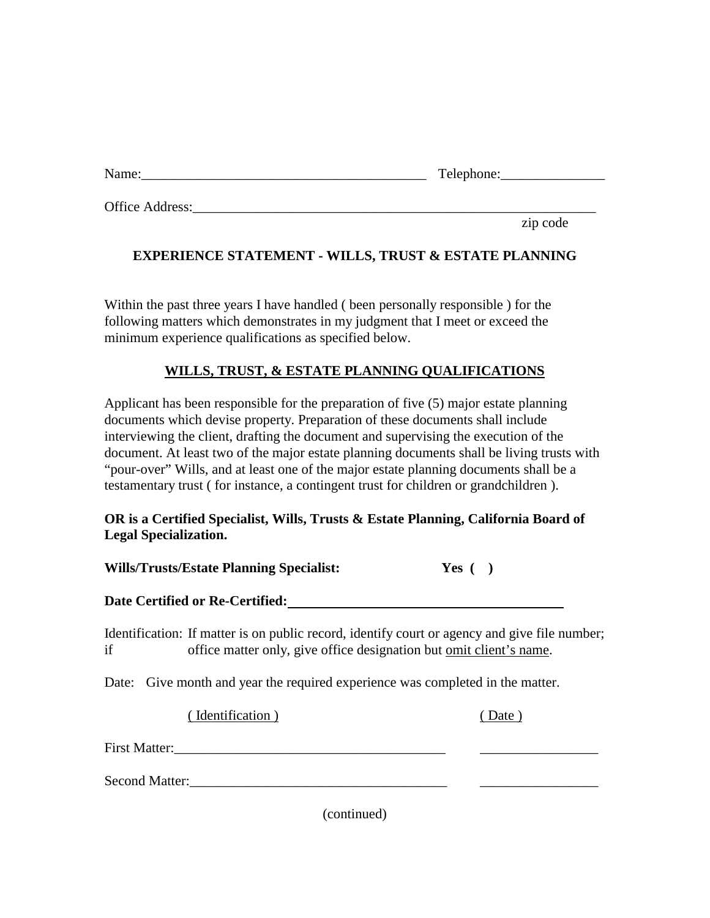| Name: |  |
|-------|--|
|       |  |

Name:\_\_\_\_\_\_\_\_\_\_\_\_\_\_\_\_\_\_\_\_\_\_\_\_\_\_\_\_\_\_\_\_\_\_\_\_\_\_\_\_\_ Telephone:\_\_\_\_\_\_\_\_\_\_\_\_\_\_\_

Office Address:

zip code

## **EXPERIENCE STATEMENT - WILLS, TRUST & ESTATE PLANNING**

Within the past three years I have handled ( been personally responsible ) for the following matters which demonstrates in my judgment that I meet or exceed the minimum experience qualifications as specified below.

## **WILLS, TRUST, & ESTATE PLANNING QUALIFICATIONS**

Applicant has been responsible for the preparation of five (5) major estate planning documents which devise property. Preparation of these documents shall include interviewing the client, drafting the document and supervising the execution of the document. At least two of the major estate planning documents shall be living trusts with "pour-over" Wills, and at least one of the major estate planning documents shall be a testamentary trust ( for instance, a contingent trust for children or grandchildren ).

## **OR is a Certified Specialist, Wills, Trusts & Estate Planning, California Board of Legal Specialization.**

**Wills/Trusts/Estate Planning Specialist: Yes ( )** 

## **Date Certified or Re-Certified:**

Identification: If matter is on public record, identify court or agency and give file number; if office matter only, give office designation but <u>omit client's name</u>.

Date: Give month and year the required experience was completed in the matter.

( Identification ) ( Date )

| <b>First Matter:</b> |  |
|----------------------|--|
|----------------------|--|

Second Matter:\_\_\_\_\_\_\_\_\_\_\_\_\_\_\_\_\_\_\_\_\_\_\_\_\_\_\_\_\_\_\_\_\_\_\_\_\_ \_\_\_\_\_\_\_\_\_\_\_\_\_\_\_\_\_

(continued)